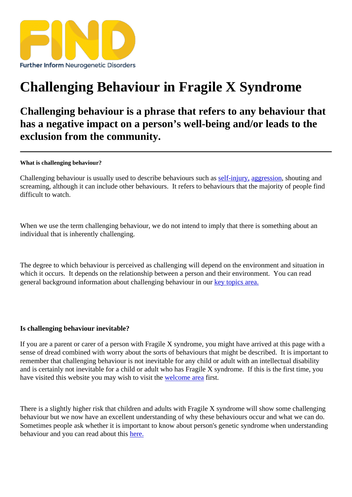## [Challenging Behav](https://findresources.co.uk)iour in Fragile X Syndrome

Challenging behaviour is a phrase that refers to any behaviour that has a negative impact on a person's well-being and/or leads to the exclusion from the community.

What is challenging behaviour?

Challenging behaviour is usually used to describe behaviours suelf-argury, aggressionshouting and screaming, although it can include other behaviours. It refers to behaviours that the majority of people find difficult to watch.

When we use the term challenging behaviour, we do not intend to imply that there is something about an individual that is inherently challenging.

The degree to which behaviour is perceived as challenging will depend on the environment and situation in which it occurs. It depends on the relationship between a person and their environment read general background information about challenging behaviour in apuropics area.

Is challenging behaviour inevitable?

If you are a parent or carer of a person with Fragile X syndrome, you might have arrived at this page with a sense of dread combined with worry about the sorts of behaviours that might be described. It is important to remember that challenging behaviounct inevitable for any child or adult with an intellectual disability and is certainly not inevitable for a child or adult who has Fragile X syndrome. If this is the first time, you have visited this website you may wish to visit the come are first.

There is a lightly higher risk that children and a[dults with Fra](/welcome-to-find)gile X syndrome will show some challenging behaviour but we now have an excellent understanding of why these behaviours occur and what we can do. Sometimes people ask whether it important to know about person's genetic syndromen understanding behaviour and you can read about these.